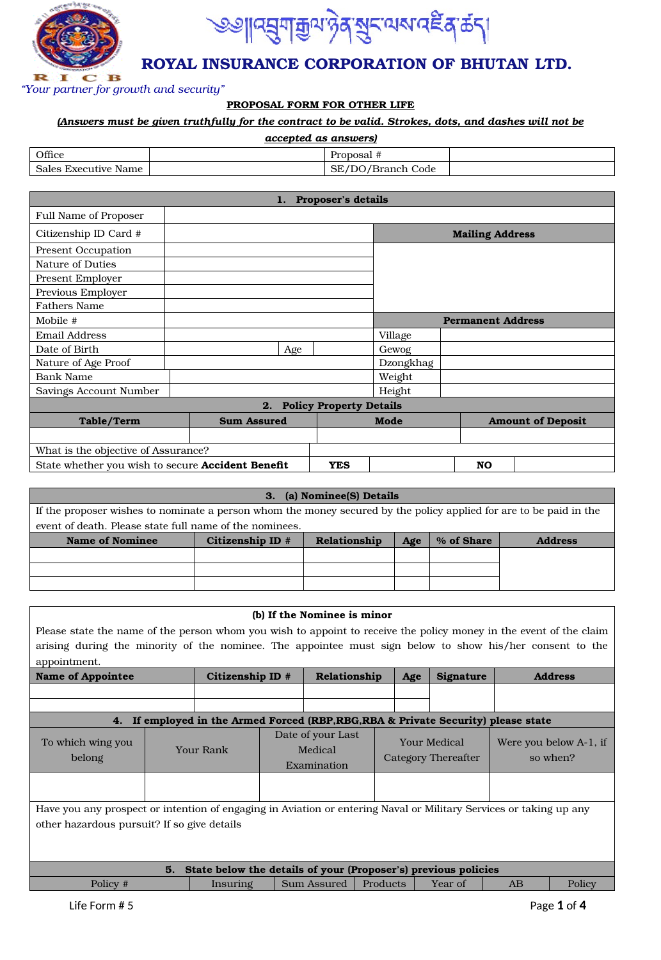



*"Your partner for growth and security"*

#### **PROPOSAL FORM FOR OTHER LIFE**

#### *(Answers must be given truthfully for the contract to be valid. Strokes, dots, and dashes will not be*

| accepted as answers) |  |                   |  |  |  |  |
|----------------------|--|-------------------|--|--|--|--|
| Office               |  | Proposal #        |  |  |  |  |
| Sales Executive Name |  | SE/DO/Branch Code |  |  |  |  |

| 1. Proposer's details                                    |                    |     |                                |           |  |                          |                          |
|----------------------------------------------------------|--------------------|-----|--------------------------------|-----------|--|--------------------------|--------------------------|
| <b>Full Name of Proposer</b>                             |                    |     |                                |           |  |                          |                          |
| Citizenship ID Card #                                    |                    |     |                                |           |  | <b>Mailing Address</b>   |                          |
| <b>Present Occupation</b>                                |                    |     |                                |           |  |                          |                          |
| Nature of Duties                                         |                    |     |                                |           |  |                          |                          |
| <b>Present Employer</b>                                  |                    |     |                                |           |  |                          |                          |
| Previous Employer                                        |                    |     |                                |           |  |                          |                          |
| <b>Fathers Name</b>                                      |                    |     |                                |           |  |                          |                          |
| Mobile #                                                 |                    |     |                                |           |  | <b>Permanent Address</b> |                          |
| <b>Email Address</b>                                     |                    |     |                                | Village   |  |                          |                          |
| Date of Birth                                            |                    | Age |                                | Gewog     |  |                          |                          |
| Nature of Age Proof                                      |                    |     |                                | Dzongkhag |  |                          |                          |
| Bank Name                                                |                    |     |                                | Weight    |  |                          |                          |
| Savings Account Number                                   |                    |     |                                | Height    |  |                          |                          |
|                                                          | 2.                 |     | <b>Policy Property Details</b> |           |  |                          |                          |
| Table/Term                                               | <b>Sum Assured</b> |     |                                | Mode      |  |                          | <b>Amount of Deposit</b> |
|                                                          |                    |     |                                |           |  |                          |                          |
| What is the objective of Assurance?                      |                    |     |                                |           |  |                          |                          |
| State whether you wish to secure <b>Accident Benefit</b> |                    |     | <b>YES</b>                     |           |  | <b>NO</b>                |                          |

| 3. (a) Nominee(S) Details                                                                                          |                                                                         |  |  |  |  |  |  |  |
|--------------------------------------------------------------------------------------------------------------------|-------------------------------------------------------------------------|--|--|--|--|--|--|--|
| If the proposer wishes to nominate a person whom the money secured by the policy applied for are to be paid in the |                                                                         |  |  |  |  |  |  |  |
| event of death. Please state full name of the nominees.                                                            |                                                                         |  |  |  |  |  |  |  |
| <b>Name of Nominee</b>                                                                                             | Citizenship ID #<br>Relationship<br>% of Share<br>Age<br><b>Address</b> |  |  |  |  |  |  |  |
|                                                                                                                    |                                                                         |  |  |  |  |  |  |  |
|                                                                                                                    |                                                                         |  |  |  |  |  |  |  |
|                                                                                                                    |                                                                         |  |  |  |  |  |  |  |

| (b) If the Nominee is minor                                                                                        |                                                                   |                  |                                             |              |          |     |                                     |    |                                    |
|--------------------------------------------------------------------------------------------------------------------|-------------------------------------------------------------------|------------------|---------------------------------------------|--------------|----------|-----|-------------------------------------|----|------------------------------------|
| Please state the name of the person whom you wish to appoint to receive the policy money in the event of the claim |                                                                   |                  |                                             |              |          |     |                                     |    |                                    |
| arising during the minority of the nominee. The appointee must sign below to show his/her consent to the           |                                                                   |                  |                                             |              |          |     |                                     |    |                                    |
| appointment.                                                                                                       |                                                                   |                  |                                             |              |          |     |                                     |    |                                    |
| <b>Name of Appointee</b>                                                                                           |                                                                   | Citizenship ID # |                                             | Relationship |          | Age | Signature                           |    | <b>Address</b>                     |
|                                                                                                                    |                                                                   |                  |                                             |              |          |     |                                     |    |                                    |
|                                                                                                                    |                                                                   |                  |                                             |              |          |     |                                     |    |                                    |
| 4. If employed in the Armed Forced (RBP, RBG, RBA & Private Security) please state                                 |                                                                   |                  |                                             |              |          |     |                                     |    |                                    |
| To which wing you<br>belong                                                                                        | <b>Your Rank</b>                                                  |                  | Date of your Last<br>Medical<br>Examination |              |          |     | Your Medical<br>Category Thereafter |    | Were you below A-1, if<br>so when? |
|                                                                                                                    |                                                                   |                  |                                             |              |          |     |                                     |    |                                    |
| Have you any prospect or intention of engaging in Aviation or entering Naval or Military Services or taking up any |                                                                   |                  |                                             |              |          |     |                                     |    |                                    |
| other hazardous pursuit? If so give details                                                                        |                                                                   |                  |                                             |              |          |     |                                     |    |                                    |
|                                                                                                                    |                                                                   |                  |                                             |              |          |     |                                     |    |                                    |
|                                                                                                                    |                                                                   |                  |                                             |              |          |     |                                     |    |                                    |
|                                                                                                                    | 5. State below the details of your (Proposer's) previous policies |                  |                                             |              |          |     |                                     |    |                                    |
| Policy #                                                                                                           |                                                                   | Insuring         |                                             | Sum Assured  | Products |     | Year of                             | AB | Policy                             |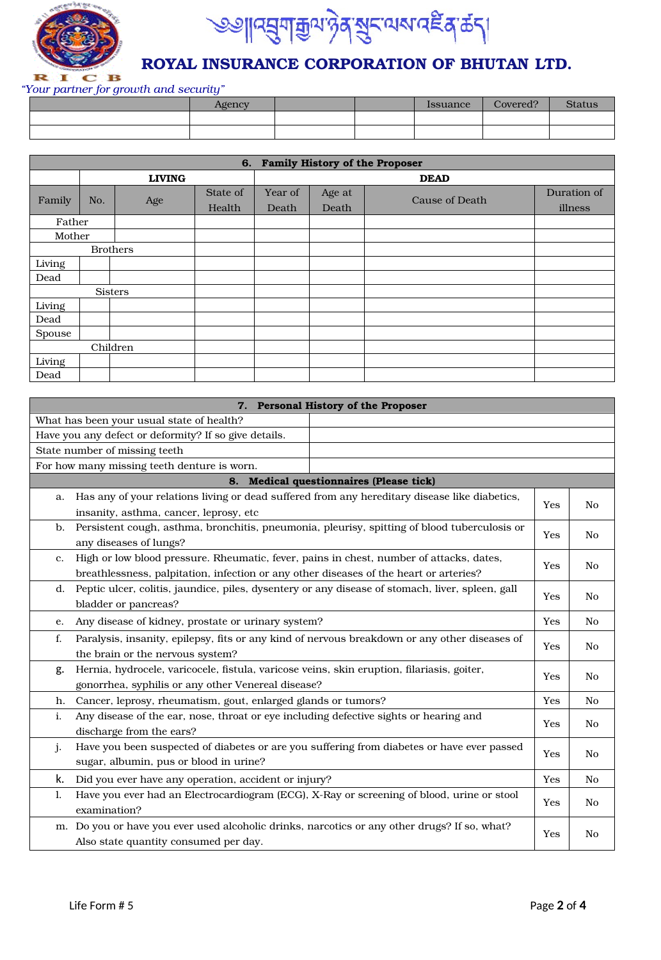



*"Your partner for growth and security"*

| Agency |  | Issuance | Covered? | <b>Status</b> |
|--------|--|----------|----------|---------------|
|        |  |          |          |               |
|        |  |          |          |               |

|        | 6. Family History of the Proposer |                 |          |         |        |                |             |
|--------|-----------------------------------|-----------------|----------|---------|--------|----------------|-------------|
|        |                                   | <b>LIVING</b>   |          |         |        | <b>DEAD</b>    |             |
|        |                                   |                 | State of | Year of | Age at |                | Duration of |
| Family | No.                               | Age             | Health   | Death   | Death  | Cause of Death | illness     |
| Father |                                   |                 |          |         |        |                |             |
| Mother |                                   |                 |          |         |        |                |             |
|        |                                   | <b>Brothers</b> |          |         |        |                |             |
| Living |                                   |                 |          |         |        |                |             |
| Dead   |                                   |                 |          |         |        |                |             |
|        | <b>Sisters</b>                    |                 |          |         |        |                |             |
| Living |                                   |                 |          |         |        |                |             |
| Dead   |                                   |                 |          |         |        |                |             |
| Spouse |                                   |                 |          |         |        |                |             |
|        |                                   | Children        |          |         |        |                |             |
| Living |                                   |                 |          |         |        |                |             |
| Dead   |                                   |                 |          |         |        |                |             |

|    | 7. Personal History of the Proposer                                                              |     |                |  |  |
|----|--------------------------------------------------------------------------------------------------|-----|----------------|--|--|
|    | What has been your usual state of health?                                                        |     |                |  |  |
|    | Have you any defect or deformity? If so give details.                                            |     |                |  |  |
|    | State number of missing teeth                                                                    |     |                |  |  |
|    | For how many missing teeth denture is worn.                                                      |     |                |  |  |
|    | 8. Medical questionnaires (Please tick)                                                          |     |                |  |  |
| a. | Has any of your relations living or dead suffered from any hereditary disease like diabetics,    |     |                |  |  |
|    | insanity, asthma, cancer, leprosy, etc                                                           | Yes | N <sub>o</sub> |  |  |
| b. | Persistent cough, asthma, bronchitis, pneumonia, pleurisy, spitting of blood tuberculosis or     | Yes | N <sub>o</sub> |  |  |
|    | any diseases of lungs?                                                                           |     |                |  |  |
| c. | High or low blood pressure. Rheumatic, fever, pains in chest, number of attacks, dates,          | Yes | N <sub>o</sub> |  |  |
|    | breathlessness, palpitation, infection or any other diseases of the heart or arteries?           |     |                |  |  |
| d. | Peptic ulcer, colitis, jaundice, piles, dysentery or any disease of stomach, liver, spleen, gall |     |                |  |  |
|    | Yes<br>N <sub>o</sub><br>bladder or pancreas?                                                    |     |                |  |  |
| e. | Any disease of kidney, prostate or urinary system?                                               |     |                |  |  |
| f. | Paralysis, insanity, epilepsy, fits or any kind of nervous breakdown or any other diseases of    |     |                |  |  |
|    | the brain or the nervous system?                                                                 | Yes | N <sub>o</sub> |  |  |
| g. | Hernia, hydrocele, varicocele, fistula, varicose veins, skin eruption, filariasis, goiter,       | Yes | N <sub>o</sub> |  |  |
|    | gonorrhea, syphilis or any other Venereal disease?                                               |     |                |  |  |
| h. | Cancer, leprosy, rheumatism, gout, enlarged glands or tumors?                                    | Yes | N <sub>o</sub> |  |  |
| i. | Any disease of the ear, nose, throat or eye including defective sights or hearing and            |     |                |  |  |
|    | discharge from the ears?                                                                         | Yes | N <sub>o</sub> |  |  |
| j. | Have you been suspected of diabetes or are you suffering from diabetes or have ever passed       | Yes | N <sub>o</sub> |  |  |
|    | sugar, albumin, pus or blood in urine?                                                           |     |                |  |  |
| k. | Did you ever have any operation, accident or injury?                                             | Yes | N <sub>o</sub> |  |  |
| 1. | Have you ever had an Electrocardiogram (ECG), X-Ray or screening of blood, urine or stool        | Yes | N <sub>o</sub> |  |  |
|    | examination?                                                                                     |     |                |  |  |
| m. | Do you or have you ever used alcoholic drinks, narcotics or any other drugs? If so, what?        | Yes | No             |  |  |
|    | Also state quantity consumed per day.                                                            |     |                |  |  |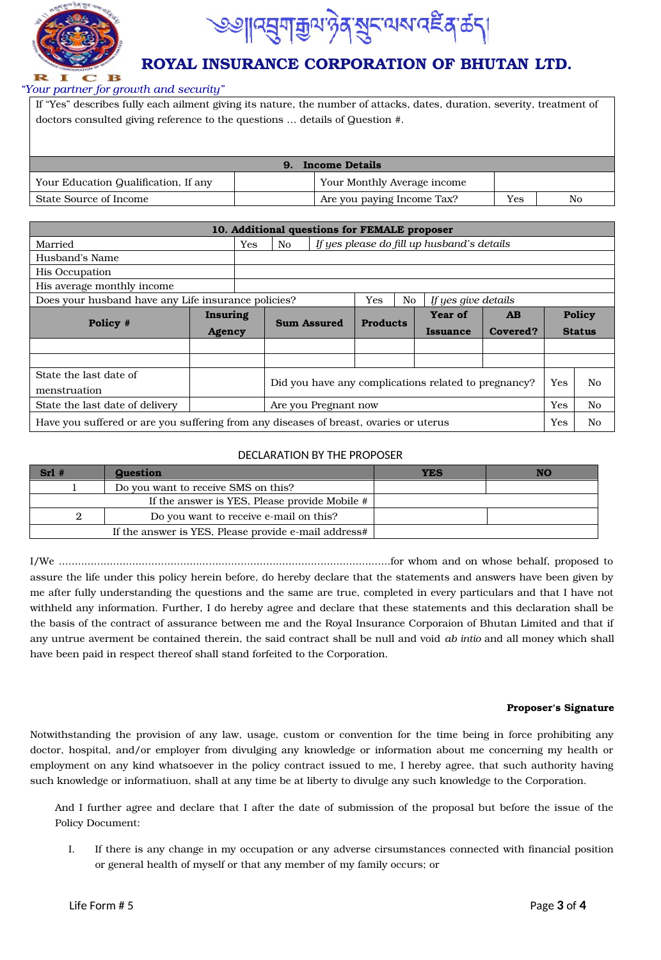



#### *"Your partner for growth and security"*

|                                                                             | If "Yes" describes fully each ailment giving its nature, the number of attacks, dates, duration, severity, treatment of |  |  |  |  |  |
|-----------------------------------------------------------------------------|-------------------------------------------------------------------------------------------------------------------------|--|--|--|--|--|
| doctors consulted giving reference to the questions  details of Question #. |                                                                                                                         |  |  |  |  |  |
|                                                                             |                                                                                                                         |  |  |  |  |  |
|                                                                             |                                                                                                                         |  |  |  |  |  |
| <b>Income Details</b><br>9.                                                 |                                                                                                                         |  |  |  |  |  |
| Your Education Qualification, If any                                        | Your Monthly Average income                                                                                             |  |  |  |  |  |

State Source of Income Are you paying Income Tax? Yes No

|                                                                                                    | 10. Additional questions for FEMALE proposer |                                                                          |     |                    |                 |    |                                            |          |  |               |
|----------------------------------------------------------------------------------------------------|----------------------------------------------|--------------------------------------------------------------------------|-----|--------------------|-----------------|----|--------------------------------------------|----------|--|---------------|
| Married                                                                                            |                                              | Yes                                                                      | No. |                    |                 |    | If yes please do fill up husband's details |          |  |               |
| Husband's Name                                                                                     |                                              |                                                                          |     |                    |                 |    |                                            |          |  |               |
| <b>His Occupation</b>                                                                              |                                              |                                                                          |     |                    |                 |    |                                            |          |  |               |
| His average monthly income                                                                         |                                              |                                                                          |     |                    |                 |    |                                            |          |  |               |
| Does your husband have any Life insurance policies?                                                |                                              |                                                                          |     |                    | Yes             | No | If yes give details                        |          |  |               |
|                                                                                                    | Insuring                                     |                                                                          |     |                    |                 |    | Year of                                    | AB       |  | <b>Policy</b> |
| Policy #                                                                                           | <b>Agency</b>                                |                                                                          |     | <b>Sum Assured</b> | <b>Products</b> |    | <b>Issuance</b>                            | Covered? |  | <b>Status</b> |
|                                                                                                    |                                              |                                                                          |     |                    |                 |    |                                            |          |  |               |
|                                                                                                    |                                              |                                                                          |     |                    |                 |    |                                            |          |  |               |
| State the last date of<br>menstruation                                                             |                                              | <b>Yes</b><br>Did you have any complications related to pregnancy?<br>No |     |                    |                 |    |                                            |          |  |               |
| State the last date of delivery                                                                    |                                              | No.<br>Are you Pregnant now<br>Yes                                       |     |                    |                 |    |                                            |          |  |               |
| Have you suffered or are you suffering from any diseases of breast, ovaries or uterus<br>Yes<br>No |                                              |                                                                          |     |                    |                 |    |                                            |          |  |               |

#### DECLARATION BY THE PROPOSER

| $Srl$ # | <b>Question</b>                                      | <b>YES</b> |  |
|---------|------------------------------------------------------|------------|--|
|         | Do you want to receive SMS on this?                  |            |  |
|         | If the answer is YES, Please provide Mobile #        |            |  |
|         | Do you want to receive e-mail on this?               |            |  |
|         | If the answer is YES, Please provide e-mail address# |            |  |

I/We ........................................................................................................for whom and on whose behalf, proposed to assure the life under this policy herein before, do hereby declare that the statements and answers have been given by me after fully understanding the questions and the same are true, completed in every particulars and that I have not withheld any information. Further, I do hereby agree and declare that these statements and this declaration shall be the basis of the contract of assurance between me and the Royal Insurance Corporaion of Bhutan Limited and that if any untrue averment be contained therein, the said contract shall be null and void *ab intio* and all money which shall have been paid in respect thereof shall stand forfeited to the Corporation.

#### **Proposer's Signature**

Notwithstanding the provision of any law, usage, custom or convention for the time being in force prohibiting any doctor, hospital, and/or employer from divulging any knowledge or information about me concerning my health or employment on any kind whatsoever in the policy contract issued to me, I hereby agree, that such authority having such knowledge or informatiuon, shall at any time be at liberty to divulge any such knowledge to the Corporation.

And I further agree and declare that I after the date of submission of the proposal but before the issue of the Policy Document:

I. If there is any change in my occupation or any adverse cirsumstances connected with financial position or general health of myself or that any member of my family occurs; or